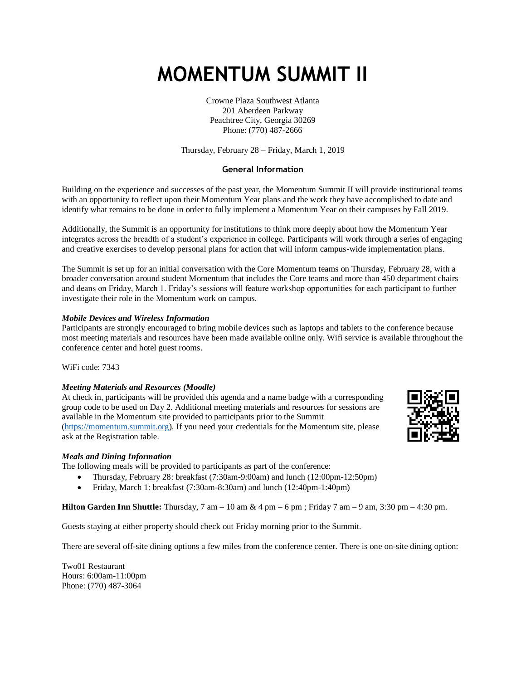# **MOMENTUM SUMMIT II**

Crowne Plaza Southwest Atlanta 201 Aberdeen Parkway Peachtree City, Georgia 30269 Phone: (770) 487-2666

Thursday, February 28 – Friday, March 1, 2019

#### **General Information**

Building on the experience and successes of the past year, the Momentum Summit II will provide institutional teams with an opportunity to reflect upon their Momentum Year plans and the work they have accomplished to date and identify what remains to be done in order to fully implement a Momentum Year on their campuses by Fall 2019.

Additionally, the Summit is an opportunity for institutions to think more deeply about how the Momentum Year integrates across the breadth of a student's experience in college. Participants will work through a series of engaging and creative exercises to develop personal plans for action that will inform campus-wide implementation plans.

The Summit is set up for an initial conversation with the Core Momentum teams on Thursday, February 28, with a broader conversation around student Momentum that includes the Core teams and more than 450 department chairs and deans on Friday, March 1. Friday's sessions will feature workshop opportunities for each participant to further investigate their role in the Momentum work on campus.

#### *Mobile Devices and Wireless Information*

Participants are strongly encouraged to bring mobile devices such as laptops and tablets to the conference because most meeting materials and resources have been made available online only. Wifi service is available throughout the conference center and hotel guest rooms.

WiFi code: 7343

#### *Meeting Materials and Resources (Moodle)*

At check in, participants will be provided this agenda and a name badge with a corresponding group code to be used on Day 2. Additional meeting materials and resources for sessions are available in the Momentum site provided to participants prior to the Summit [\(https://momentum.summit.org\)](https://momentum.summit.org/). If you need your credentials for the Momentum site, please ask at the Registration table.



#### *Meals and Dining Information*

The following meals will be provided to participants as part of the conference:

- Thursday, February 28: breakfast (7:30am-9:00am) and lunch (12:00pm-12:50pm)
- Friday, March 1: breakfast (7:30am-8:30am) and lunch (12:40pm-1:40pm)

**Hilton Garden Inn Shuttle:** Thursday, 7 am – 10 am & 4 pm – 6 pm ; Friday 7 am – 9 am, 3:30 pm – 4:30 pm.

Guests staying at either property should check out Friday morning prior to the Summit.

There are several off-site dining options a few miles from the conference center. There is one on-site dining option:

Two01 Restaurant Hours: 6:00am-11:00pm Phone: (770) 487-3064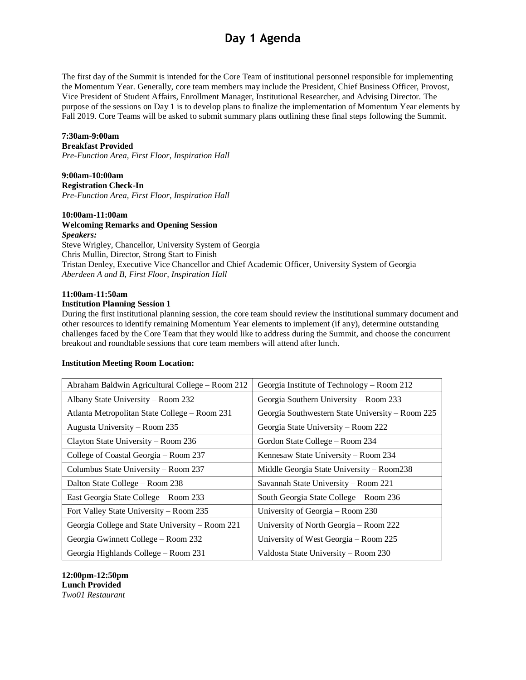## **Day 1 Agenda**

The first day of the Summit is intended for the Core Team of institutional personnel responsible for implementing the Momentum Year. Generally, core team members may include the President, Chief Business Officer, Provost, Vice President of Student Affairs, Enrollment Manager, Institutional Researcher, and Advising Director. The purpose of the sessions on Day 1 is to develop plans to finalize the implementation of Momentum Year elements by Fall 2019. Core Teams will be asked to submit summary plans outlining these final steps following the Summit.

### **7:30am-9:00am**

**Breakfast Provided**

*Pre-Function Area, First Floor, Inspiration Hall*

### **9:00am-10:00am**

**Registration Check-In** *Pre-Function Area, First Floor, Inspiration Hall*

#### **10:00am-11:00am**

**Welcoming Remarks and Opening Session** *Speakers:* Steve Wrigley, Chancellor, University System of Georgia Chris Mullin, Director, Strong Start to Finish Tristan Denley, Executive Vice Chancellor and Chief Academic Officer, University System of Georgia *Aberdeen A and B, First Floor, Inspiration Hall*

#### **11:00am-11:50am**

#### **Institution Planning Session 1**

During the first institutional planning session, the core team should review the institutional summary document and other resources to identify remaining Momentum Year elements to implement (if any), determine outstanding challenges faced by the Core Team that they would like to address during the Summit, and choose the concurrent breakout and roundtable sessions that core team members will attend after lunch.

#### **Institution Meeting Room Location:**

| Abraham Baldwin Agricultural College – Room 212 | Georgia Institute of Technology – Room 212       |  |
|-------------------------------------------------|--------------------------------------------------|--|
| Albany State University – Room 232              | Georgia Southern University – Room 233           |  |
| Atlanta Metropolitan State College - Room 231   | Georgia Southwestern State University – Room 225 |  |
| Augusta University - Room 235                   | Georgia State University – Room 222              |  |
| Clayton State University – Room 236             | Gordon State College - Room 234                  |  |
| College of Coastal Georgia – Room 237           | Kennesaw State University - Room 234             |  |
| Columbus State University – Room 237            | Middle Georgia State University - Room238        |  |
| Dalton State College - Room 238                 | Savannah State University - Room 221             |  |
| East Georgia State College – Room 233           | South Georgia State College – Room 236           |  |
| Fort Valley State University - Room 235         | University of Georgia – Room 230                 |  |
| Georgia College and State University – Room 221 | University of North Georgia – Room 222           |  |
| Georgia Gwinnett College - Room 232             | University of West Georgia – Room 225            |  |
| Georgia Highlands College – Room 231            | Valdosta State University - Room 230             |  |

**12:00pm-12:50pm Lunch Provided** *Two01 Restaurant*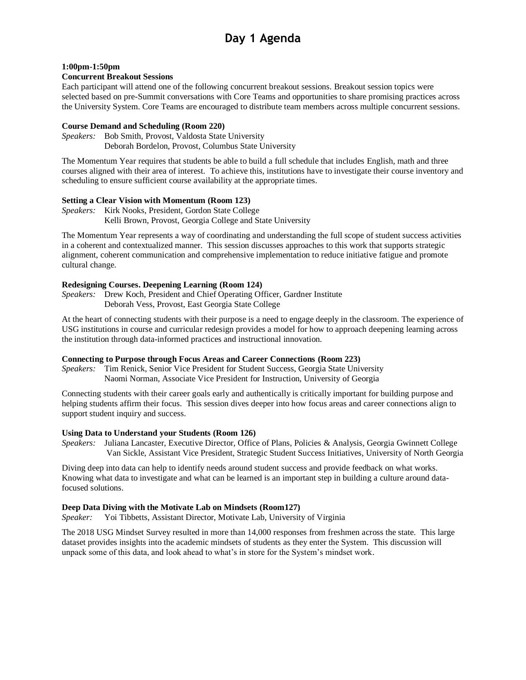#### **1:00pm-1:50pm**

#### **Concurrent Breakout Sessions**

Each participant will attend one of the following concurrent breakout sessions. Breakout session topics were selected based on pre-Summit conversations with Core Teams and opportunities to share promising practices across the University System. Core Teams are encouraged to distribute team members across multiple concurrent sessions.

#### **Course Demand and Scheduling (Room 220)**

*Speakers:* Bob Smith, Provost, Valdosta State University Deborah Bordelon, Provost, Columbus State University

The Momentum Year requires that students be able to build a full schedule that includes English, math and three courses aligned with their area of interest. To achieve this, institutions have to investigate their course inventory and scheduling to ensure sufficient course availability at the appropriate times.

#### **Setting a Clear Vision with Momentum (Room 123)**

*Speakers:* Kirk Nooks, President, Gordon State College Kelli Brown, Provost, Georgia College and State University

The Momentum Year represents a way of coordinating and understanding the full scope of student success activities in a coherent and contextualized manner. This session discusses approaches to this work that supports strategic alignment, coherent communication and comprehensive implementation to reduce initiative fatigue and promote cultural change.

#### **Redesigning Courses. Deepening Learning (Room 124)**

*Speakers:* Drew Koch, President and Chief Operating Officer, Gardner Institute Deborah Vess, Provost, East Georgia State College

At the heart of connecting students with their purpose is a need to engage deeply in the classroom. The experience of USG institutions in course and curricular redesign provides a model for how to approach deepening learning across the institution through data-informed practices and instructional innovation.

#### **Connecting to Purpose through Focus Areas and Career Connections (Room 223)**

*Speakers:* Tim Renick, Senior Vice President for Student Success, Georgia State University Naomi Norman, Associate Vice President for Instruction, University of Georgia

Connecting students with their career goals early and authentically is critically important for building purpose and helping students affirm their focus. This session dives deeper into how focus areas and career connections align to support student inquiry and success.

#### **Using Data to Understand your Students (Room 126)**

*Speakers:* Juliana Lancaster, Executive Director, Office of Plans, Policies & Analysis, Georgia Gwinnett College Van Sickle, Assistant Vice President, Strategic Student Success Initiatives, University of North Georgia

Diving deep into data can help to identify needs around student success and provide feedback on what works. Knowing what data to investigate and what can be learned is an important step in building a culture around datafocused solutions.

#### **Deep Data Diving with the Motivate Lab on Mindsets (Room127)**

*Speaker:* Yoi Tibbetts, Assistant Director, Motivate Lab, University of Virginia

The 2018 USG Mindset Survey resulted in more than 14,000 responses from freshmen across the state. This large dataset provides insights into the academic mindsets of students as they enter the System. This discussion will unpack some of this data, and look ahead to what's in store for the System's mindset work.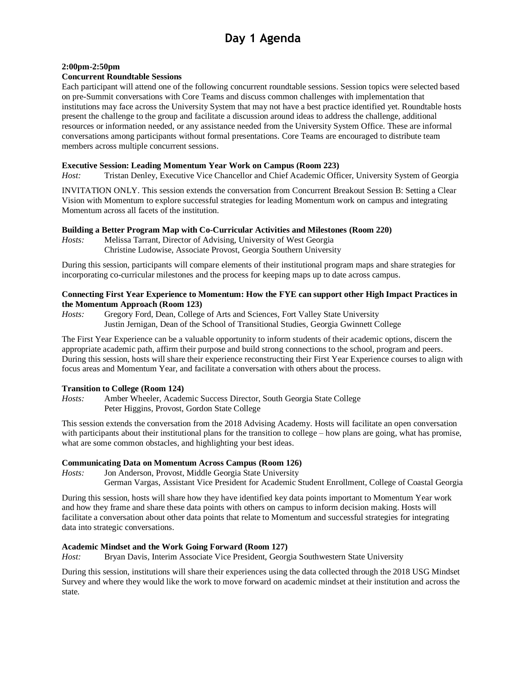# **Day 1 Agenda**

#### **2:00pm-2:50pm**

#### **Concurrent Roundtable Sessions**

Each participant will attend one of the following concurrent roundtable sessions. Session topics were selected based on pre-Summit conversations with Core Teams and discuss common challenges with implementation that institutions may face across the University System that may not have a best practice identified yet. Roundtable hosts present the challenge to the group and facilitate a discussion around ideas to address the challenge, additional resources or information needed, or any assistance needed from the University System Office. These are informal conversations among participants without formal presentations. Core Teams are encouraged to distribute team members across multiple concurrent sessions.

#### **Executive Session: Leading Momentum Year Work on Campus (Room 223)**

*Host:* Tristan Denley, Executive Vice Chancellor and Chief Academic Officer, University System of Georgia

INVITATION ONLY. This session extends the conversation from Concurrent Breakout Session B: Setting a Clear Vision with Momentum to explore successful strategies for leading Momentum work on campus and integrating Momentum across all facets of the institution.

#### **Building a Better Program Map with Co-Curricular Activities and Milestones (Room 220)**

*Hosts:* Melissa Tarrant, Director of Advising, University of West Georgia Christine Ludowise, Associate Provost, Georgia Southern University

During this session, participants will compare elements of their institutional program maps and share strategies for incorporating co-curricular milestones and the process for keeping maps up to date across campus.

#### **Connecting First Year Experience to Momentum: How the FYE can support other High Impact Practices in the Momentum Approach (Room 123)**

*Hosts:* Gregory Ford, Dean, College of Arts and Sciences, Fort Valley State University Justin Jernigan, Dean of the School of Transitional Studies, Georgia Gwinnett College

The First Year Experience can be a valuable opportunity to inform students of their academic options, discern the appropriate academic path, affirm their purpose and build strong connections to the school, program and peers. During this session, hosts will share their experience reconstructing their First Year Experience courses to align with focus areas and Momentum Year, and facilitate a conversation with others about the process.

#### **Transition to College (Room 124)**

*Hosts:* Amber Wheeler, Academic Success Director, South Georgia State College Peter Higgins, Provost, Gordon State College

This session extends the conversation from the 2018 Advising Academy. Hosts will facilitate an open conversation with participants about their institutional plans for the transition to college – how plans are going, what has promise, what are some common obstacles, and highlighting your best ideas.

#### **Communicating Data on Momentum Across Campus (Room 126)**

*Hosts:* Jon Anderson, Provost, Middle Georgia State University German Vargas, Assistant Vice President for Academic Student Enrollment, College of Coastal Georgia

During this session, hosts will share how they have identified key data points important to Momentum Year work and how they frame and share these data points with others on campus to inform decision making. Hosts will facilitate a conversation about other data points that relate to Momentum and successful strategies for integrating data into strategic conversations.

#### **Academic Mindset and the Work Going Forward (Room 127)**

*Host:* Bryan Davis, Interim Associate Vice President, Georgia Southwestern State University

During this session, institutions will share their experiences using the data collected through the 2018 USG Mindset Survey and where they would like the work to move forward on academic mindset at their institution and across the state.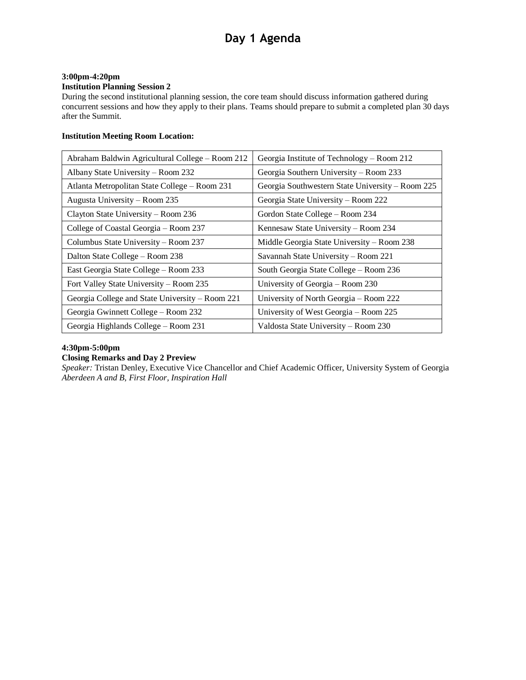# **Day 1 Agenda**

#### **3:00pm-4:20pm**

#### **Institution Planning Session 2**

During the second institutional planning session, the core team should discuss information gathered during concurrent sessions and how they apply to their plans. Teams should prepare to submit a completed plan 30 days after the Summit.

#### **Institution Meeting Room Location:**

| Abraham Baldwin Agricultural College – Room 212 | Georgia Institute of Technology – Room 212       |
|-------------------------------------------------|--------------------------------------------------|
| Albany State University – Room 232              | Georgia Southern University – Room 233           |
| Atlanta Metropolitan State College - Room 231   | Georgia Southwestern State University – Room 225 |
| Augusta University - Room 235                   | Georgia State University – Room 222              |
| Clayton State University - Room 236             | Gordon State College – Room 234                  |
| College of Coastal Georgia - Room 237           | Kennesaw State University - Room 234             |
| Columbus State University - Room 237            | Middle Georgia State University – Room 238       |
| Dalton State College – Room 238                 | Savannah State University - Room 221             |
| East Georgia State College - Room 233           | South Georgia State College - Room 236           |
| Fort Valley State University – Room 235         | University of Georgia – Room 230                 |
| Georgia College and State University - Room 221 | University of North Georgia - Room 222           |
| Georgia Gwinnett College – Room 232             | University of West Georgia – Room 225            |
| Georgia Highlands College – Room 231            | Valdosta State University - Room 230             |

#### **4:30pm-5:00pm**

#### **Closing Remarks and Day 2 Preview**

*Speaker:* Tristan Denley, Executive Vice Chancellor and Chief Academic Officer, University System of Georgia *Aberdeen A and B, First Floor, Inspiration Hall*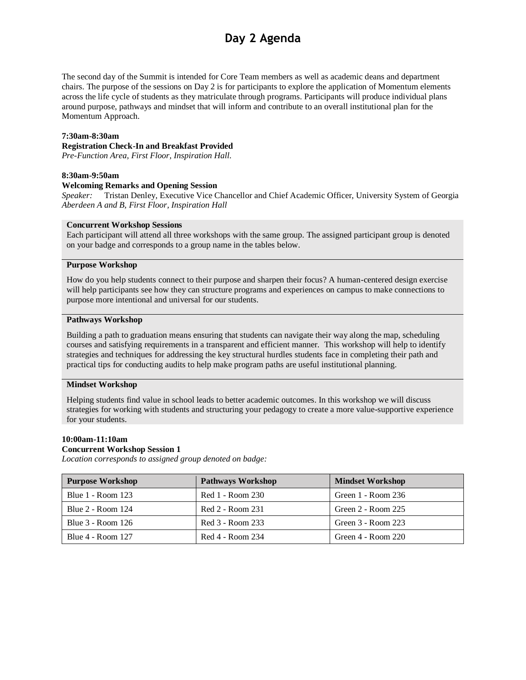## **Day 2 Agenda**

The second day of the Summit is intended for Core Team members as well as academic deans and department chairs. The purpose of the sessions on Day 2 is for participants to explore the application of Momentum elements across the life cycle of students as they matriculate through programs. Participants will produce individual plans around purpose, pathways and mindset that will inform and contribute to an overall institutional plan for the Momentum Approach.

#### **7:30am-8:30am**

#### **Registration Check-In and Breakfast Provided**

*Pre-Function Area, First Floor, Inspiration Hall.*

#### **8:30am-9:50am**

#### **Welcoming Remarks and Opening Session**

*Speaker:* Tristan Denley, Executive Vice Chancellor and Chief Academic Officer, University System of Georgia *Aberdeen A and B, First Floor, Inspiration Hall*

#### **Concurrent Workshop Sessions**

Each participant will attend all three workshops with the same group. The assigned participant group is denoted on your badge and corresponds to a group name in the tables below.

#### **Purpose Workshop**

How do you help students connect to their purpose and sharpen their focus? A human-centered design exercise will help participants see how they can structure programs and experiences on campus to make connections to purpose more intentional and universal for our students.

#### **Pathways Workshop**

Building a path to graduation means ensuring that students can navigate their way along the map, scheduling courses and satisfying requirements in a transparent and efficient manner. This workshop will help to identify strategies and techniques for addressing the key structural hurdles students face in completing their path and practical tips for conducting audits to help make program paths are useful institutional planning.

#### **Mindset Workshop**

Helping students find value in school leads to better academic outcomes. In this workshop we will discuss strategies for working with students and structuring your pedagogy to create a more value-supportive experience for your students.

#### **10:00am-11:10am**

#### **Concurrent Workshop Session 1**

*Location corresponds to assigned group denoted on badge:*

| <b>Purpose Workshop</b>  | <b>Pathways Workshop</b> | <b>Mindset Workshop</b> |
|--------------------------|--------------------------|-------------------------|
| <b>Blue 1 - Room 123</b> | Red 1 - Room 230         | Green $1 -$ Room 236    |
| Blue 2 - Room 124        | Red 2 - Room 231         | Green 2 - Room 225      |
| Blue 3 - Room 126        | Red 3 - Room 233         | Green 3 - Room 223      |
| <b>Blue 4 - Room 127</b> | Red 4 - Room 234         | Green $4 -$ Room $220$  |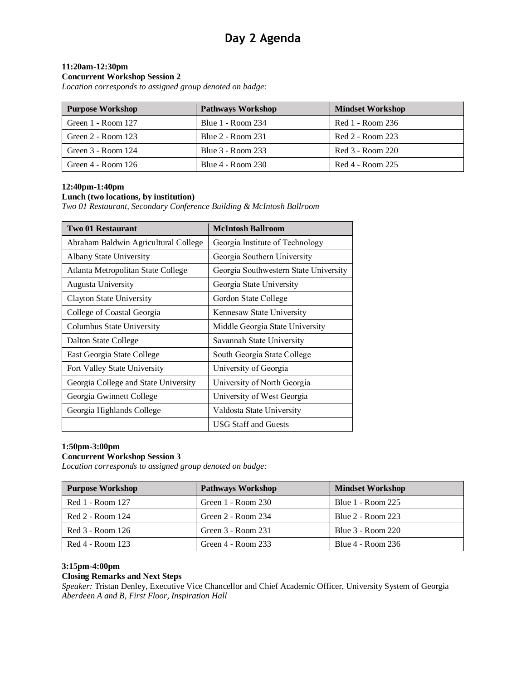#### **11:20am-12:30pm**

#### **Concurrent Workshop Session 2**

*Location corresponds to assigned group denoted on badge:*

| <b>Purpose Workshop</b> | <b>Pathways Workshop</b> | <b>Mindset Workshop</b> |
|-------------------------|--------------------------|-------------------------|
| Green 1 - Room 127      | <b>Blue 1 - Room 234</b> | Red 1 - Room 236        |
| Green 2 - Room 123      | <b>Blue 2 - Room 231</b> | Red 2 - Room 223        |
| Green 3 - Room 124      | Blue 3 - Room 233        | Red 3 - Room 220        |
| Green $4 -$ Room 126    | Blue 4 - Room 230        | Red 4 - Room 225        |

#### **12:40pm-1:40pm**

#### **Lunch (two locations, by institution)**

*Two 01 Restaurant, Secondary Conference Building & McIntosh Ballroom*

| <b>Two 01 Restaurant</b>             | <b>McIntosh Ballroom</b>              |  |
|--------------------------------------|---------------------------------------|--|
| Abraham Baldwin Agricultural College | Georgia Institute of Technology       |  |
| <b>Albany State University</b>       | Georgia Southern University           |  |
| Atlanta Metropolitan State College   | Georgia Southwestern State University |  |
| <b>Augusta University</b>            | Georgia State University              |  |
| Clayton State University             | Gordon State College                  |  |
| College of Coastal Georgia           | Kennesaw State University             |  |
| Columbus State University            | Middle Georgia State University       |  |
| Dalton State College                 | Savannah State University             |  |
| East Georgia State College           | South Georgia State College           |  |
| Fort Valley State University         | University of Georgia                 |  |
| Georgia College and State University | University of North Georgia           |  |
| Georgia Gwinnett College             | University of West Georgia            |  |
| Georgia Highlands College            | Valdosta State University             |  |
|                                      | <b>USG Staff and Guests</b>           |  |

#### **1:50pm-3:00pm**

#### **Concurrent Workshop Session 3**

*Location corresponds to assigned group denoted on badge:*

| <b>Purpose Workshop</b> | <b>Pathways Workshop</b> | <b>Mindset Workshop</b>  |
|-------------------------|--------------------------|--------------------------|
| Red 1 - Room 127        | Green 1 - Room 230       | Blue 1 - Room 225        |
| Red 2 - Room 124        | Green $2 -$ Room $234$   | <b>Blue 2 - Room 223</b> |
| Red 3 - Room 126        | Green 3 - Room 231       | Blue 3 - Room 220        |
| Red 4 - Room 123        | Green $4 -$ Room 233     | Blue 4 - Room 236        |

#### **3:15pm-4:00pm**

#### **Closing Remarks and Next Steps**

*Speaker:* Tristan Denley, Executive Vice Chancellor and Chief Academic Officer, University System of Georgia *Aberdeen A and B, First Floor, Inspiration Hall*